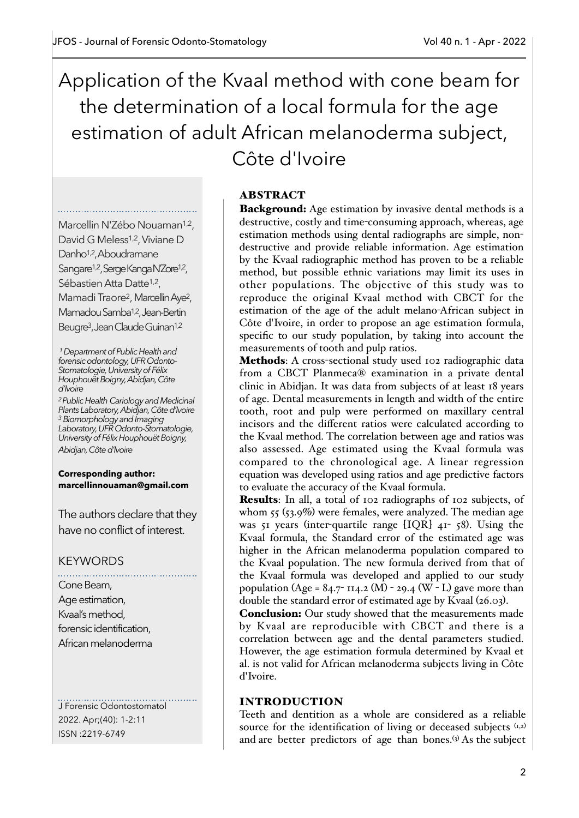Application of the Kvaal method with cone beam for the determination of a local formula for the age estimation of adult African melanoderma subject, Côte d'Ivoire

Marcellin N'Zébo Nouaman<sup>1,2</sup>, David G Meless<sup>1,2</sup>, Viviane D Danho1,2, Aboudramane Sangare<sup>1,2</sup>, Serge Kanga N'Zore<sup>1,2</sup>, Sébastien Atta Datte<sup>1,2</sup>, Mamadi Traore<sup>2</sup>, Marcellin Aye<sup>2</sup>, Mamadou Samba<sup>1,2</sup>, Jean-Bertin Beugre3, Jean Claude Guinan1,2

 *1 Department of Public Health and forensic odontology, UFR Odonto-Stomatologie, University of Félix Houphouët Boigny, Abidjan, Côte d'Ivoire*

*2 Public Health Cariology and Medicinal Plants Laboratory, Abidjan, Côte d'Ivoire 3 Biomorphology and Imaging Laboratory, UFR Odonto-Stomatologie, University of Félix Houphouët Boigny, Abidjan, Côte d'Ivoire*

**Corresponding author: marcellinnouaman@gmail.com**

The authors declare that they have no conflict of interest.

# KEYWORDS

Cone Beam, Age estimation, Kvaal's method, forensic identification, African melanoderma

J Forensic Odontostomatol 2022. Apr;(40): 1-2:11 ISSN :2219-6749

## ABSTRACT

Background: Age estimation by invasive dental methods is a destructive, costly and time-consuming approach, whereas, age estimation methods using dental radiographs are simple, nondestructive and provide reliable information. Age estimation by the Kvaal radiographic method has proven to be a reliable method, but possible ethnic variations may limit its uses in other populations. The objective of this study was to reproduce the original Kvaal method with CBCT for the estimation of the age of the adult melano-African subject in Côte d'Ivoire, in order to propose an age estimation formula, specific to our study population, by taking into account the measurements of tooth and pulp ratios.

Methods: A cross-sectional study used 102 radiographic data from a CBCT Planmeca® examination in a private dental clinic in Abidjan. It was data from subjects of at least 18 years of age. Dental measurements in length and width of the entire tooth, root and pulp were performed on maxillary central incisors and the different ratios were calculated according to the Kvaal method. The correlation between age and ratios was also assessed. Age estimated using the Kvaal formula was compared to the chronological age. A linear regression equation was developed using ratios and age predictive factors to evaluate the accuracy of the Kvaal formula.

Results: In all, a total of 102 radiographs of 102 subjects, of whom 55 (53.9%) were females, were analyzed. The median age was 51 years (inter-quartile range [IQR] 41- 58). Using the Kvaal formula, the Standard error of the estimated age was higher in the African melanoderma population compared to the Kvaal population. The new formula derived from that of the Kvaal formula was developed and applied to our study population (Age = 84.7- 114.2 (M) - 29.4 (W - L) gave more than double the standard error of estimated age by Kvaal (26.03).

Conclusion: Our study showed that the measurements made by Kvaal are reproducible with CBCT and there is a correlation between age and the dental parameters studied. However, the age estimation formula determined by Kvaal et al. is not valid for African melanoderma subjects living in Côte d'Ivoire.

## INTRODUCTION

Teeth and dentition as a whole are considered as a reliable source for the identification of living or deceased subjects  $(x, z)$ and are better predictors of age than bones.<sup>(3)</sup> As the subject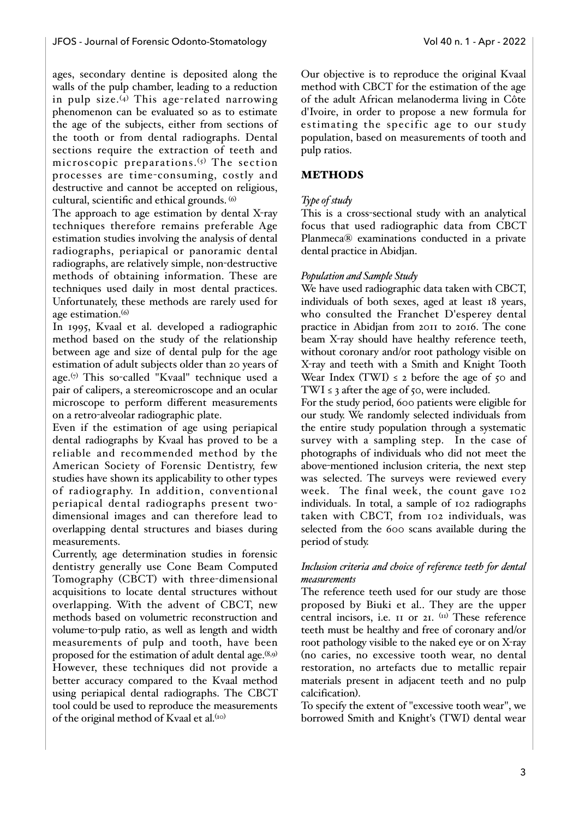ages, secondary dentine is deposited along the walls of the pulp chamber, leading to a reduction in pulp size. $(4)$  This age-related narrowing phenomenon can be evaluated so as to estimate the age of the subjects, either from sections of the tooth or from dental radiographs. Dental sections require the extraction of teeth and microscopic preparations.<sup>(5)</sup> The section processes are time-consuming, costly and destructive and cannot be accepted on religious, cultural, scientific and ethical grounds. (6)

The approach to age estimation by dental X-ray techniques therefore remains preferable Age estimation studies involving the analysis of dental radiographs, periapical or panoramic dental radiographs, are relatively simple, non-destructive methods of obtaining information. These are techniques used daily in most dental practices. Unfortunately, these methods are rarely used for age estimation.<sup>(6)</sup>

In 1995, Kvaal et al. developed a radiographic method based on the study of the relationship between age and size of dental pulp for the age estimation of adult subjects older than 20 years of age.(7) This so-called "Kvaal" technique used a pair of calipers, a stereomicroscope and an ocular microscope to perform different measurements on a retro-alveolar radiographic plate.

Even if the estimation of age using periapical dental radiographs by Kvaal has proved to be a reliable and recommended method by the American Society of Forensic Dentistry, few studies have shown its applicability to other types of radiography. In addition, conventional periapical dental radiographs present twodimensional images and can therefore lead to overlapping dental structures and biases during measurements.

Currently, age determination studies in forensic dentistry generally use Cone Beam Computed Tomography (CBCT) with three-dimensional acquisitions to locate dental structures without overlapping. With the advent of CBCT, new methods based on volumetric reconstruction and volume-to-pulp ratio, as well as length and width measurements of pulp and tooth, have been proposed for the estimation of adult dental age. $(8,9)$ However, these techniques did not provide a better accuracy compared to the Kvaal method using periapical dental radiographs. The CBCT tool could be used to reproduce the measurements of the original method of Kvaal et al.<sup>(10)</sup>

Our objective is to reproduce the original Kvaal method with CBCT for the estimation of the age of the adult African melanoderma living in Côte d'Ivoire, in order to propose a new formula for estimating the specific age to our study population, based on measurements of tooth and pulp ratios.

## **METHODS**

## *Type of study*

This is a cross-sectional study with an analytical focus that used radiographic data from CBCT Planmeca® examinations conducted in a private dental practice in Abidjan.

## *Population and Sample Study*

We have used radiographic data taken with CBCT, individuals of both sexes, aged at least 18 years, who consulted the Franchet D'esperey dental practice in Abidjan from 2011 to 2016. The cone beam X-ray should have healthy reference teeth, without coronary and/or root pathology visible on X-ray and teeth with a Smith and Knight Tooth Wear Index (TWI)  $\leq$  2 before the age of 50 and TWI  $\leq$  3 after the age of 50, were included.

For the study period, 600 patients were eligible for our study. We randomly selected individuals from the entire study population through a systematic survey with a sampling step. In the case of photographs of individuals who did not meet the above-mentioned inclusion criteria, the next step was selected. The surveys were reviewed every week. The final week, the count gave 102 individuals. In total, a sample of 102 radiographs taken with CBCT, from 102 individuals, was selected from the 600 scans available during the period of study.

## *Inclusion criteria and choice of reference teeth for dental measurements*

The reference teeth used for our study are those proposed by Biuki et al.. They are the upper central incisors, i.e. 11 or 21. (11) These reference teeth must be healthy and free of coronary and/or root pathology visible to the naked eye or on X-ray (no caries, no excessive tooth wear, no dental restoration, no artefacts due to metallic repair materials present in adjacent teeth and no pulp calcification).

To specify the extent of "excessive tooth wear", we borrowed Smith and Knight's (TWI) dental wear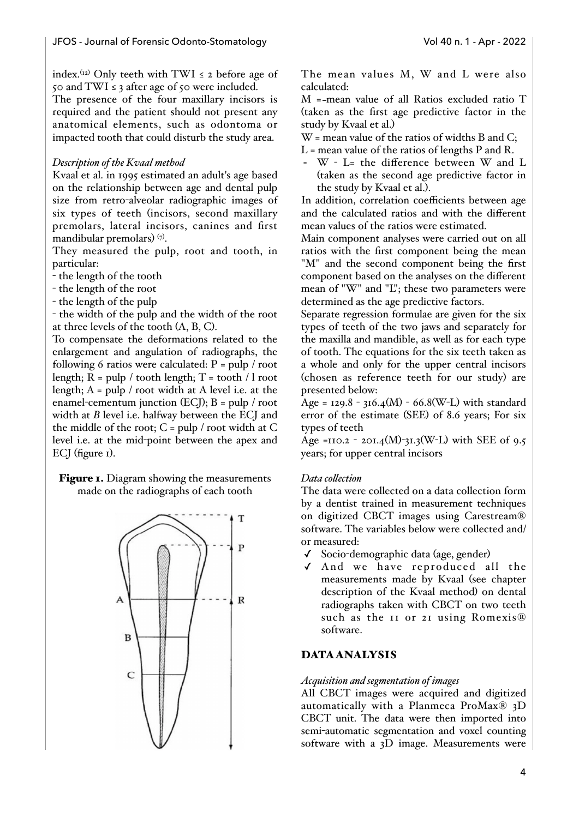index.<sup>(12)</sup> Only teeth with TWI  $\leq$  2 before age of 50 and TWI  $\leq$  3 after age of 50 were included.

The presence of the four maxillary incisors is required and the patient should not present any anatomical elements, such as odontoma or impacted tooth that could disturb the study area.

## *Description of the Kvaal method*

Kvaal et al. in 1995 estimated an adult's age based on the relationship between age and dental pulp size from retro-alveolar radiographic images of six types of teeth (incisors, second maxillary premolars, lateral incisors, canines and first mandibular premolars)  $(7)$ .

They measured the pulp, root and tooth, in particular:

- the length of the tooth
- the length of the root
- the length of the pulp

- the width of the pulp and the width of the root at three levels of the tooth (A, B, C).

To compensate the deformations related to the enlargement and angulation of radiographs, the following 6 ratios were calculated:  $P = \text{pub} / \text{root}$ length;  $\overline{R}$  = pulp / tooth length;  $T =$  tooth  $\overline{R}$  / l root length;  $A = pulp / root$  width at A level i.e. at the enamel-cementum junction (ECJ); B = pulp / root width at *B* level i.e. halfway between the ECJ and the middle of the root;  $C = \text{pulp} / \text{root}$  width at  $C$ level i.e. at the mid-point between the apex and ECJ (figure 1).

Figure 1. Diagram showing the measurements made on the radiographs of each tooth



The mean values M, W and L were also calculated:

M = mean value of all Ratios excluded ratio T (taken as the first age predictive factor in the study by Kvaal et al.)

W = mean value of the ratios of widths B and C;

- $L =$  mean value of the ratios of lengths P and R.
- W L= the difference between W and L (taken as the second age predictive factor in the study by Kvaal et al.).

In addition, correlation coefficients between age and the calculated ratios and with the different mean values of the ratios were estimated.

Main component analyses were carried out on all ratios with the first component being the mean "M" and the second component being the first component based on the analyses on the different mean of "W" and "L"; these two parameters were determined as the age predictive factors.

Separate regression formulae are given for the six types of teeth of the two jaws and separately for the maxilla and mandible, as well as for each type of tooth. The equations for the six teeth taken as a whole and only for the upper central incisors (chosen as reference teeth for our study) are presented below:

 $Age = 129.8 - 316.4(M) - 66.8(W-L)$  with standard error of the estimate (SEE) of 8.6 years; For six types of teeth

Age =110.2 - 201.4(M)-31.3(W-L) with SEE of 9.5 years; for upper central incisors

## *Data collection*

The data were collected on a data collection form by a dentist trained in measurement techniques on digitized CBCT images using Carestream® software. The variables below were collected and/ or measured:

- ✓ Socio-demographic data (age, gender)
- $\sqrt{}$  And we have reproduced all the measurements made by Kvaal (see chapter description of the Kvaal method) on dental radiographs taken with CBCT on two teeth such as the 11 or 21 using Romexis® software.

## DATA ANALYSIS

#### *Acquisition and segmentation of images*

All CBCT images were acquired and digitized automatically with a Planmeca ProMax® 3D CBCT unit. The data were then imported into semi-automatic segmentation and voxel counting software with a 3D image. Measurements were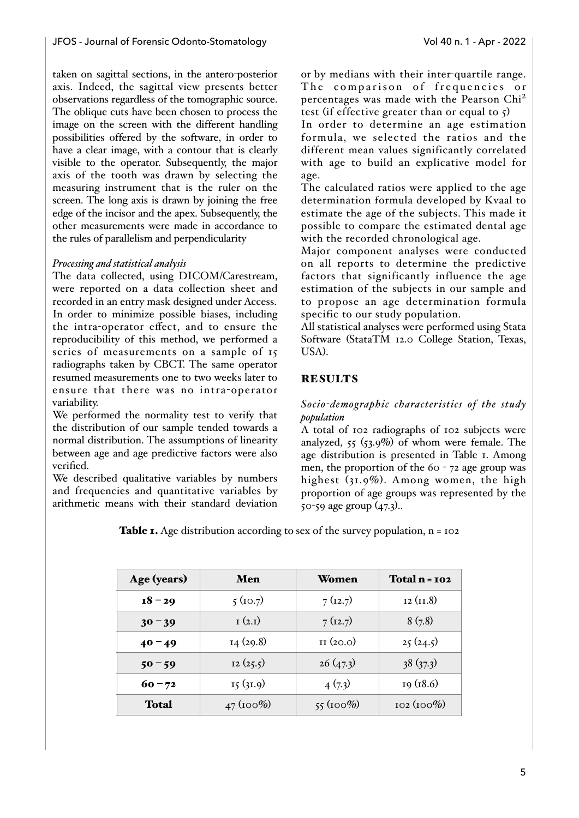taken on sagittal sections, in the antero-posterior axis. Indeed, the sagittal view presents better observations regardless of the tomographic source. The oblique cuts have been chosen to process the image on the screen with the different handling possibilities offered by the software, in order to have a clear image, with a contour that is clearly visible to the operator. Subsequently, the major axis of the tooth was drawn by selecting the measuring instrument that is the ruler on the screen. The long axis is drawn by joining the free edge of the incisor and the apex. Subsequently, the other measurements were made in accordance to the rules of parallelism and perpendicularity

#### *Processing and statistical analysis*

The data collected, using DICOM/Carestream, were reported on a data collection sheet and recorded in an entry mask designed under Access. In order to minimize possible biases, including the intra-operator effect, and to ensure the reproducibility of this method, we performed a series of measurements on a sample of 15 radiographs taken by CBCT. The same operator resumed measurements one to two weeks later to ensure that there was no intra-operator variability.

We performed the normality test to verify that the distribution of our sample tended towards a normal distribution. The assumptions of linearity between age and age predictive factors were also verified.

We described qualitative variables by numbers and frequencies and quantitative variables by arithmetic means with their standard deviation or by medians with their inter-quartile range. The comparison of frequencies or percentages was made with the Pearson Chi<sup>2</sup> test (if effective greater than or equal to  $\zeta$ )

In order to determine an age estimation formula, we selected the ratios and the different mean values significantly correlated with age to build an explicative model for age.

The calculated ratios were applied to the age determination formula developed by Kvaal to estimate the age of the subjects. This made it possible to compare the estimated dental age with the recorded chronological age.

Major component analyses were conducted on all reports to determine the predictive factors that significantly influence the age estimation of the subjects in our sample and to propose an age determination formula specific to our study population.

All statistical analyses were performed using Stata Software (StataTM 12.0 College Station, Texas, USA).

## **RESULTS**

#### *Socio-demographic characteristics of the study population*

A total of 102 radiographs of 102 subjects were analyzed,  $55$  ( $53.9\%$ ) of whom were female. The age distribution is presented in Table 1. Among men, the proportion of the 60 - 72 age group was highest (31.9%). Among women, the high proportion of age groups was represented by the 50-59 age group (47.3)..

**Table 1.** Age distribution according to sex of the survey population,  $n = 102$ 

| Age (years) | Men         | Women                     | Total n = 102 |
|-------------|-------------|---------------------------|---------------|
| $18 - 29$   | 5(10.7)     | 7(12.7)                   | 12 (II.8)     |
| $30 - 39$   | I(2,I)      | 7(12.7)                   | 8(7.8)        |
| $40 - 49$   | 14(29.8)    | $_{II}$ (20.0)            | 25(24.5)      |
| $50 - 59$   | 12(25.5)    | 26(47.3)                  | 38(37.3)      |
| $60 - 72$   | I5(3I.9)    | 4(7.3)                    | 19(18.6)      |
| Total       | $47(100\%)$ | $55 \left( 100\% \right)$ | $102(100\%)$  |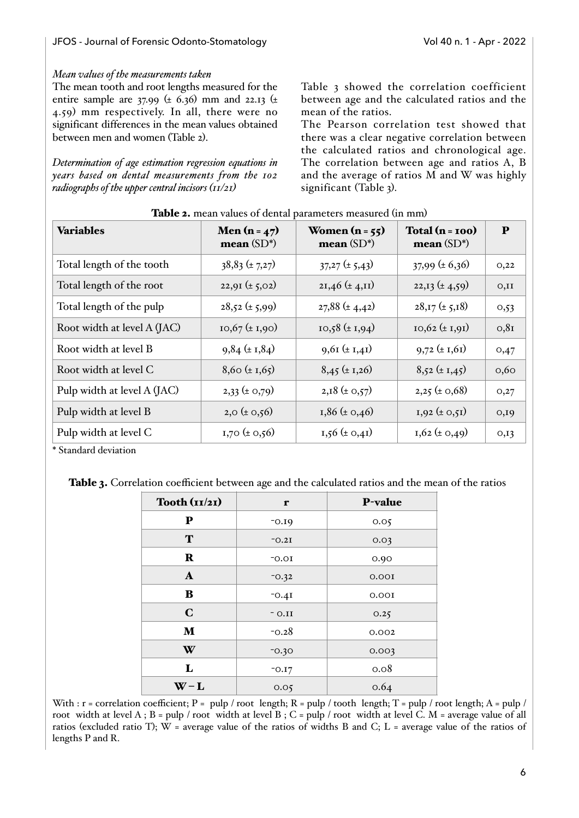## *Mean values of the measurements taken*

The mean tooth and root lengths measured for the entire sample are 37.99 (± 6.36) mm and 22.13 (± 4.59) mm respectively. In all, there were no significant differences in the mean values obtained between men and women (Table 2).

*Determination of age estimation regression equations in years based on dental measurements from the 102 radiographs of the upper central incisors (11/21)* 

Table 3 showed the correlation coefficient between age and the calculated ratios and the mean of the ratios.

The Pearson correlation test showed that there was a clear negative correlation between the calculated ratios and chronological age. The correlation between age and ratios A, B and the average of ratios M and W was highly significant (Table 3).

| <b>Variables</b>            | Men $(n = 47)$<br>mean $(SD^*)$ | Women $(n = 55)$<br>mean $(SD^*)$ | $Total(n=100)$<br>mean $(SD^*)$ | ${\bf P}$ |
|-----------------------------|---------------------------------|-----------------------------------|---------------------------------|-----------|
| Total length of the tooth   | $38,83 \ (\pm 7,27)$            | $37,27 \pm 5,43$                  | $37,99 \ (\pm 6,36)$            | O,22      |
| Total length of the root    | $22,91 \ (\pm 5,02)$            | $2I,46 \ (\pm 4,11)$              | $22,13 \ (\pm 4,59)$            | O,II      |
| Total length of the pulp    | $28,52 \ (\pm 5,99)$            | $27,88 \ (\pm 4,42)$              | $28,17 \ (\pm 5,18)$            | 0,53      |
| Root width at level A (JAC) | $10,67 \ (\pm 1,90)$            | $10,58 \ (\pm 1,94)$              | $10,62 \ (\pm 1,91)$            | 0,81      |
| Root width at level B       | $9,84 \pm 1,84$                 | $9,61 \ (\pm 1,41)$               | $9,72 \pm 1,61$                 | 0,47      |
| Root width at level C       | $8,60 \ (\pm 1,65)$             | $8,45 \ (\pm 1,26)$               | $8,52 \pm 1,45$                 | 0,60      |
| Pulp width at level A (JAC) | $2,33 \ (\pm 0,79)$             | $2,18 \ (\pm 0,57)$               | $2,25 \ (\pm 0,68)$             | O,27      |
| Pulp width at level B       | $2,0 \ (\pm 0,56)$              | $1,86 \ (\pm 0,46)$               | $I,92 \ (\pm 0,51)$             | O,IO      |
| Pulp width at level C       | $1,70 \ (\pm 0,56)$             | $1,56 \ (\pm 0,41)$               | $I, 62 \ (\pm 0, 49)$           | O, I3     |

|  | Table 2. mean values of dental parameters measured (in mm) |
|--|------------------------------------------------------------|
|--|------------------------------------------------------------|

\* Standard deviation

| Tooth $(i1/21)$ | r        | P-value |
|-----------------|----------|---------|
| ${\bf P}$       | $-0.19$  | 0.05    |
| T               | $-0.2I$  | 0.03    |
| $\mathbf R$     | $-0.01$  | 0.90    |
| $\mathbf A$     | $-0.32$  | 0.001   |
| B               | $-0.4I$  | 0.001   |
| $\mathbf C$     | $-$ 0.II | 0.25    |
| ${\bf M}$       | $-0.28$  | 0.002   |
| W               | $-0.30$  | 0.003   |
| L               | $-0.17$  | 0.08    |
| $W - L$         | 0.05     | 0.64    |

With :  $r =$  correlation coefficient; P = pulp / root length; R = pulp / tooth length; T = pulp / root length; A = pulp / root width at level A ; B = pulp / root width at level B ; C = pulp / root width at level C. M = average value of all ratios (excluded ratio T);  $W =$  average value of the ratios of widths B and C; L = average value of the ratios of lengths P and R.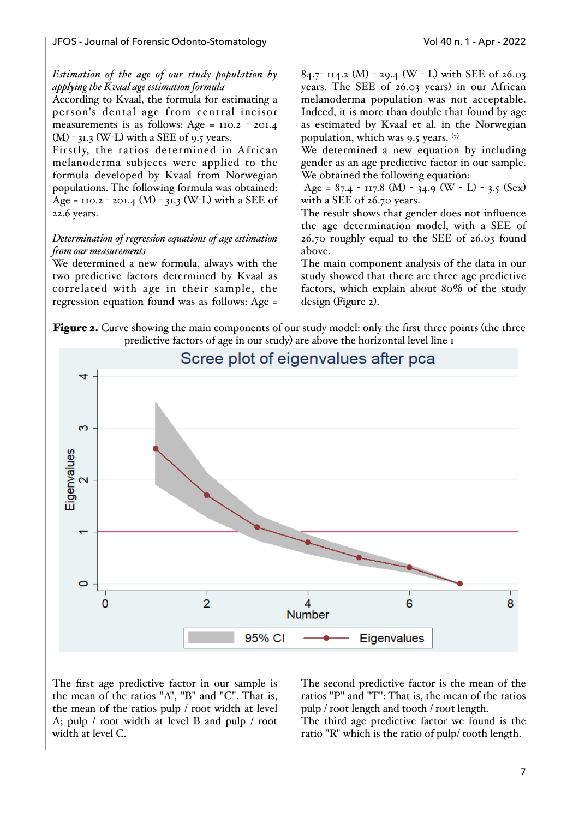## *Estimation of the age of our study population by applying the Kvaal age estimation formula*

According to Kvaal, the formula for estimating a person's dental age from central incisor measurements is as follows: Age =  $110.2 - 201.4$  $(M)$  - 31.3 (W-L) with a SEE of 9.5 years.

Firstly, the ratios determined in African melanoderma subjects were applied to the formula developed by Kvaal from Norwegian populations. The following formula was obtained: Age =  $110.2 - 201.4$  (M) -  $31.3$  (W-L) with a SEE of 22.6 years.

### *Determination of regression equations of age estimation from our measurements*

We determined a new formula, always with the two predictive factors determined by Kvaal as correlated with age in their sample, the regression equation found was as follows: Age = 84.7- 114.2 (M) - 29.4 (W - L) with SEE of 26.03 years. The SEE of 26.03 years) in our African melanoderma population was not acceptable. Indeed, it is more than double that found by age as estimated by Kvaal et al. in the Norwegian population, which was 9.5 years.  $(7)$ 

We determined a new equation by including gender as an age predictive factor in our sample. We obtained the following equation:

Age =  $87.4 - 117.8$  (M) - 34.9 (W - L) - 3.5 (Sex) with a SEE of 26.70 years.

The result shows that gender does not influence the age determination model, with a SEE of 26.70 roughly equal to the SEE of 26.03 found above.

The main component analysis of the data in our study showed that there are three age predictive factors, which explain about 80% of the study design (Figure 2).

Figure 2. Curve showing the main components of our study model: only the first three points (the three predictive factors of age in our study) are above the horizontal level line 1



The first age predictive factor in our sample is the mean of the ratios "A", "B" and "C". That is, the mean of the ratios pulp / root width at level A; pulp / root width at level B and pulp / root width at level C.

The second predictive factor is the mean of the ratios "P" and "T": That is, the mean of the ratios pulp / root length and tooth / root length.

The third age predictive factor we found is the ratio "R" which is the ratio of pulp/ tooth length.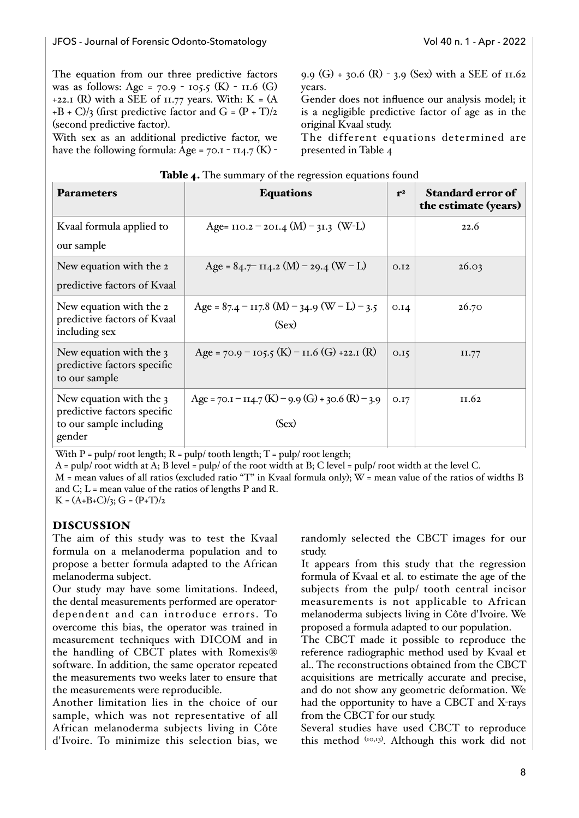The equation from our three predictive factors was as follows: Age =  $70.9 - 105.5$  (K) - 11.6 (G) +22.1 (R) with a SEE of 11.77 years. With:  $K = (A)$  $+B + C$ /3 (first predictive factor and G =  $(P + T)/2$ (second predictive factor).

With sex as an additional predictive factor, we have the following formula: Age =  $70.1 - 114.7$  (K) -

9.9 (G) + 30.6 (R) - 3.9 (Sex) with a SEE of 11.62 years.

Gender does not influence our analysis model; it is a negligible predictive factor of age as in the original Kvaal study.

The different equations determined are presented in Table 4

| <b>Parameters</b>                                                                           | <b>Equations</b>                                             | r <sup>2</sup> | <b>Standard error of</b><br>the estimate (years) |
|---------------------------------------------------------------------------------------------|--------------------------------------------------------------|----------------|--------------------------------------------------|
| Kvaal formula applied to<br>our sample                                                      | Age= $110.2 - 201.4$ (M) - 31.3 (W-L)                        |                | 22.6                                             |
| New equation with the 2<br>predictive factors of Kvaal                                      | Age = $84.7$ - 114.2 (M) - 29.4 (W - L)                      | O.I2           | 26.03                                            |
| New equation with the 2<br>predictive factors of Kvaal<br>including sex                     | Age = $87.4 - 117.8$ (M) - 34.9 (W – L) – 3.5<br>(Sex)       | 0.14           | 26.70                                            |
| New equation with the 3<br>predictive factors specific<br>to our sample                     | Age = $70.9 - 105.5$ (K) – $11.6$ (G) +22.1 (R)              | 0.15           | II.77                                            |
| New equation with the 3<br>predictive factors specific<br>to our sample including<br>gender | Age = $70.1 - 114.7$ (K) – 9.9 (G) + 30.6 (R) – 3.9<br>(Sex) | O.I7           | II.62                                            |

| Table 4. The summary of the regression equations found |
|--------------------------------------------------------|
|--------------------------------------------------------|

With  $P = pulp / root length$ ;  $R = pulp / tooth length$ ;  $T = pulp / root length$ ;

A = pulp/ root width at A; B level = pulp/ of the root width at B; C level = pulp/ root width at the level C.

M = mean values of all ratios (excluded ratio "T" in Kvaal formula only); W = mean value of the ratios of widths B and  $C$ ;  $L =$  mean value of the ratios of lengths P and R.

 $K = (A+B+C)/3$ ;  $G = (P+T)/2$ 

## DISCUSSION

The aim of this study was to test the Kvaal formula on a melanoderma population and to propose a better formula adapted to the African melanoderma subject.

Our study may have some limitations. Indeed, the dental measurements performed are operatordependent and can introduce errors. To overcome this bias, the operator was trained in measurement techniques with DICOM and in the handling of CBCT plates with Romexis® software. In addition, the same operator repeated the measurements two weeks later to ensure that the measurements were reproducible.

Another limitation lies in the choice of our sample, which was not representative of all African melanoderma subjects living in Côte d'Ivoire. To minimize this selection bias, we

randomly selected the CBCT images for our study.

It appears from this study that the regression formula of Kvaal et al. to estimate the age of the subjects from the pulp/ tooth central incisor measurements is not applicable to African melanoderma subjects living in Côte d'Ivoire. We proposed a formula adapted to our population.

The CBCT made it possible to reproduce the reference radiographic method used by Kvaal et al.. The reconstructions obtained from the CBCT acquisitions are metrically accurate and precise, and do not show any geometric deformation. We had the opportunity to have a CBCT and X-rays from the CBCT for our study.

Several studies have used CBCT to reproduce this method (10,13) . Although this work did not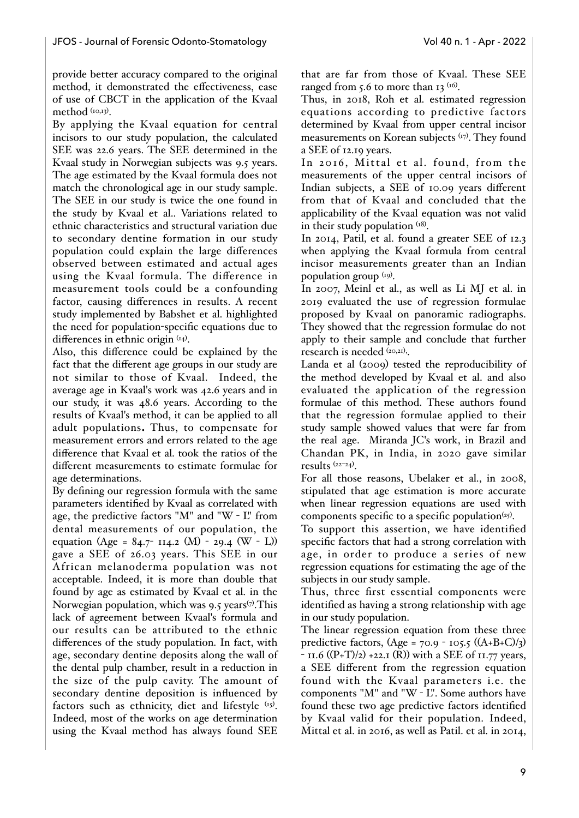provide better accuracy compared to the original method, it demonstrated the effectiveness, ease of use of CBCT in the application of the Kvaal method (10,13).

By applying the Kvaal equation for central incisors to our study population, the calculated SEE was 22.6 years. The SEE determined in the Kvaal study in Norwegian subjects was 9.5 years. The age estimated by the Kvaal formula does not match the chronological age in our study sample. The SEE in our study is twice the one found in the study by Kvaal et al.. Variations related to ethnic characteristics and structural variation due to secondary dentine formation in our study population could explain the large differences observed between estimated and actual ages using the Kvaal formula. The difference in measurement tools could be a confounding factor, causing differences in results. A recent study implemented by Babshet et al. highlighted the need for population-specific equations due to differences in ethnic origin  $(14)$ .

Also, this difference could be explained by the fact that the different age groups in our study are not similar to those of Kvaal. Indeed, the average age in Kvaal's work was 42.6 years and in our study, it was 48.6 years. According to the results of Kvaal's method, it can be applied to all adult populations. Thus, to compensate for measurement errors and errors related to the age difference that Kvaal et al. took the ratios of the different measurements to estimate formulae for age determinations.

By defining our regression formula with the same parameters identified by Kvaal as correlated with age, the predictive factors "M" and "W - L" from dental measurements of our population, the equation (Age =  $84.7$ - 114.2 (M) - 29.4 (W - L)) gave a SEE of 26.03 years. This SEE in our African melanoderma population was not acceptable. Indeed, it is more than double that found by age as estimated by Kvaal et al. in the Norwegian population, which was 9.5 years $\%$ . This lack of agreement between Kvaal's formula and our results can be attributed to the ethnic differences of the study population. In fact, with age, secondary dentine deposits along the wall of the dental pulp chamber, result in a reduction in the size of the pulp cavity. The amount of secondary dentine deposition is influenced by factors such as ethnicity, diet and lifestyle  $(x5)$ . Indeed, most of the works on age determination using the Kvaal method has always found SEE

that are far from those of Kvaal. These SEE ranged from 5.6 to more than 13  $(16)$ .

Thus, in 2018, Roh et al. estimated regression equations according to predictive factors determined by Kvaal from upper central incisor measurements on Korean subjects (17). They found a SEE of 12.19 years.

In 2016, Mittal et al. found, from the measurements of the upper central incisors of Indian subjects, a SEE of 10.09 years different from that of Kvaal and concluded that the applicability of the Kvaal equation was not valid in their study population  $(18)$ .

In 2014, Patil, et al. found a greater SEE of 12.3 when applying the Kvaal formula from central incisor measurements greater than an Indian population group (19).

In 2007, Meinl et al., as well as Li MJ et al. in 2019 evaluated the use of regression formulae proposed by Kvaal on panoramic radiographs. They showed that the regression formulae do not apply to their sample and conclude that further research is needed  $(20,21)$ .

Landa et al (2009) tested the reproducibility of the method developed by Kvaal et al. and also evaluated the application of the regression formulae of this method. These authors found that the regression formulae applied to their study sample showed values that were far from the real age. Miranda JC's work, in Brazil and Chandan PK, in India, in 2020 gave similar results (22–24) .

For all those reasons, Ubelaker et al., in 2008, stipulated that age estimation is more accurate when linear regression equations are used with components specific to a specific population $(x_5)$ .

To support this assertion, we have identified specific factors that had a strong correlation with age, in order to produce a series of new regression equations for estimating the age of the subjects in our study sample.

Thus, three first essential components were identified as having a strong relationship with age in our study population.

The linear regression equation from these three predictive factors,  $(Age = 70.9 - 105.5 ((A+B+C)/3))$  $-$  11.6 ((P+T)/2) +22.1 (R)) with a SEE of 11.77 years, a SEE different from the regression equation found with the Kvaal parameters i.e. the components "M" and "W - L". Some authors have found these two age predictive factors identified by Kvaal valid for their population. Indeed, Mittal et al. in 2016, as well as Patil. et al. in 2014,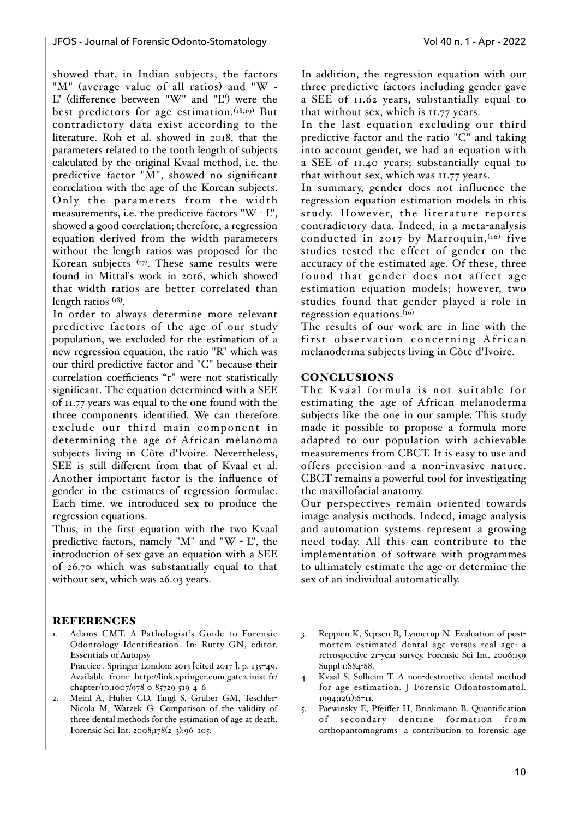showed that, in Indian subjects, the factors "M" (average value of all ratios) and "W  $\sim$ L" (difference between "W" and "L") were the best predictors for age estimation.<sup>(18,19)</sup> But contradictory data exist according to the literature. Roh et al. showed in 2018, that the parameters related to the tooth length of subjects calculated by the original Kvaal method, i.e. the predictive factor "M", showed no significant correlation with the age of the Korean subjects. Only the parameters from the width measurements, i.e. the predictive factors "W - L", showed a good correlation; therefore, a regression equation derived from the width parameters without the length ratios was proposed for the Korean subjects <sup>(17)</sup>. These same results were found in Mittal's work in 2016, which showed that width ratios are better correlated than length ratios (18).

In order to always determine more relevant predictive factors of the age of our study population, we excluded for the estimation of a new regression equation, the ratio "R" which was our third predictive factor and "C" because their correlation coefficients "r" were not statistically significant. The equation determined with a SEE of 11.77 years was equal to the one found with the three components identified. We can therefore exclude our third main component in determining the age of African melanoma subjects living in Côte d'Ivoire. Nevertheless, SEE is still different from that of Kvaal et al. Another important factor is the influence of gender in the estimates of regression formulae. Each time, we introduced sex to produce the regression equations.

Thus, in the first equation with the two Kvaal predictive factors, namely "M" and "W - L", the introduction of sex gave an equation with a SEE of 26.70 which was substantially equal to that without sex, which was 26.03 years.

## In addition, the regression equation with our three predictive factors including gender gave a SEE of 11.62 years, substantially equal to that without sex, which is 11.77 years.

In the last equation excluding our third predictive factor and the ratio "C" and taking into account gender, we had an equation with a SEE of 11.40 years; substantially equal to that without sex, which was 11.77 years.

In summary, gender does not influence the regression equation estimation models in this study. However, the literature reports contradictory data. Indeed, in a meta-analysis conducted in 2017 by Marroquin,  $(16)$  five studies tested the effect of gender on the accuracy of the estimated age. Of these, three found that gender does not affect age estimation equation models; however, two studies found that gender played a role in regression equations. $(16)$ 

The results of our work are in line with the first observation concerning African melanoderma subjects living in Côte d'Ivoire.

## CONCLUSIONS

The Kvaal formula is not suitable for estimating the age of African melanoderma subjects like the one in our sample. This study made it possible to propose a formula more adapted to our population with achievable measurements from CBCT. It is easy to use and offers precision and a non-invasive nature. CBCT remains a powerful tool for investigating the maxillofacial anatomy.

Our perspectives remain oriented towards image analysis methods. Indeed, image analysis and automation systems represent a growing need today. All this can contribute to the implementation of software with programmes to ultimately estimate the age or determine the sex of an individual automatically.

## REFERENCES

- 1. Adams CMT. A Pathologist's Guide to Forensic Odontology Identification. In: Rutty GN, editor. Essentials of Autopsy Practice . Springer London; 2013 [cited 2017]. p. 135-49. Available from: http://link.springer.com.gate2.inist.fr/ chapter/10.1007/978-0-85729-519-4\_6
- 2. Meinl A, Huber CD, Tangl S, Gruber GM, Teschler-Nicola M, Watzek G. Comparison of the validity of three dental methods for the estimation of age at death. Forensic Sci Int. 2008;178(2–3):96–105.
- 3. Reppien K, Sejrsen B, Lynnerup N. Evaluation of postmortem estimated dental age versus real age: a retrospective 21-year survey. Forensic Sci Int. 2006;159 Suppl 1:S84-88.
- 4. Kvaal S, Solheim T. A non-destructive dental method for age estimation. J Forensic Odontostomatol. 1994;12(1):6–11.
- 5. Paewinsky E, Pfeiffer H, Brinkmann B. Quantification of secondary dentine formation from orthopantomograms--a contribution to forensic age